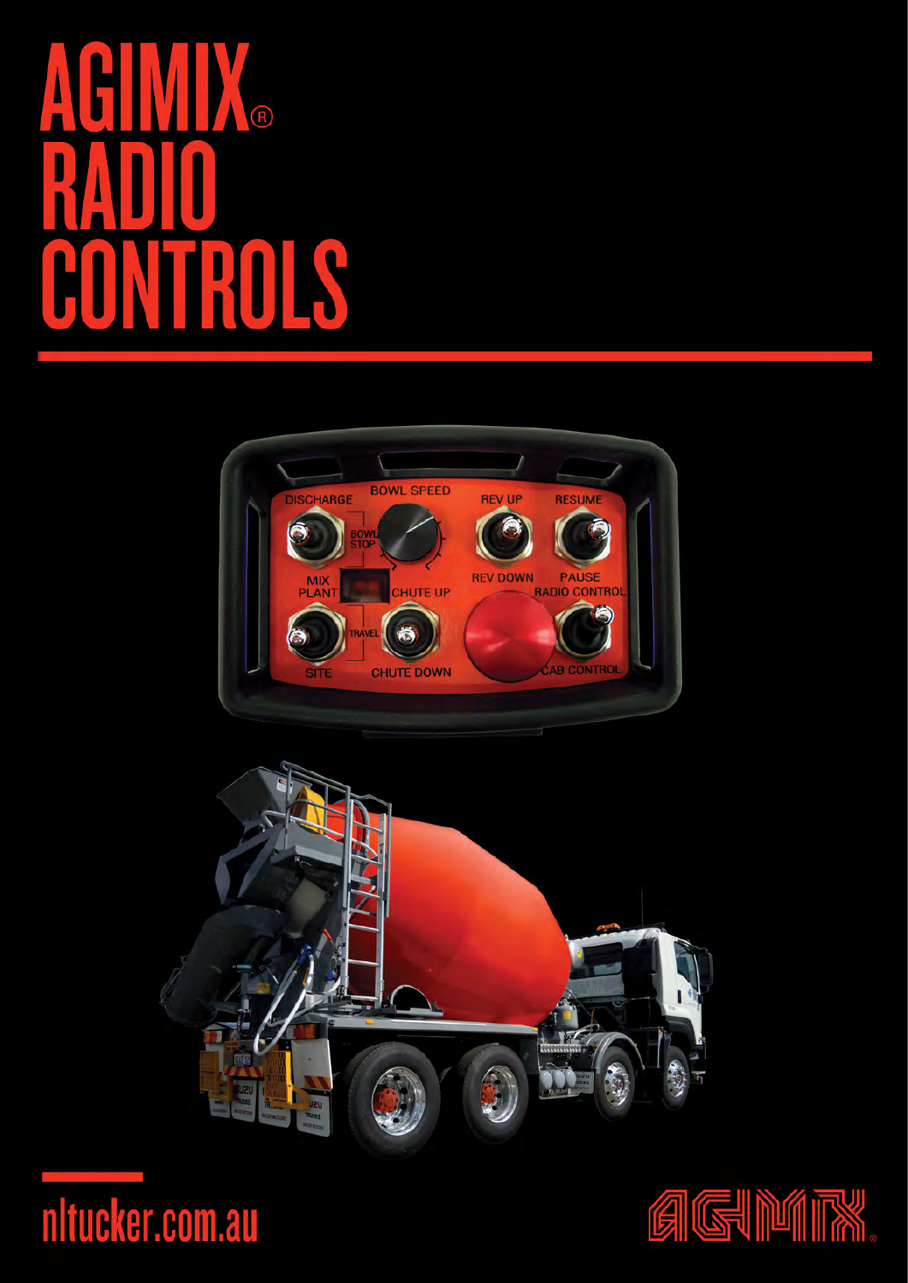# Ne TROLS CON